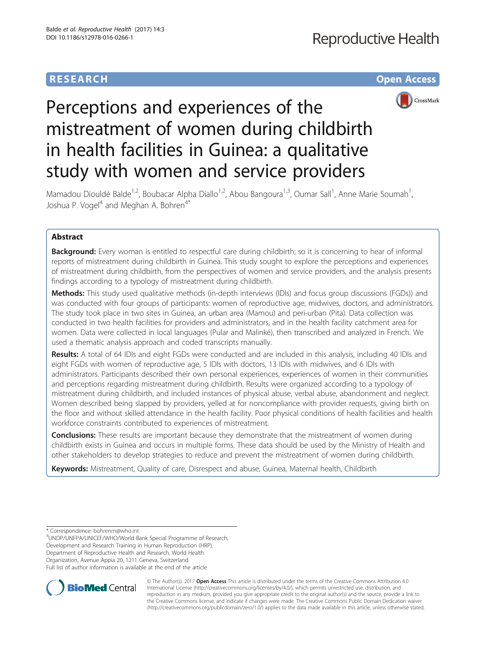## **RESEARCH CHE Open Access**



# Perceptions and experiences of the mistreatment of women during childbirth in health facilities in Guinea: a qualitative study with women and service providers

Mamadou Diouldé Balde<sup>1,2</sup>, Boubacar Alpha Diallo<sup>1,2</sup>, Abou Bangoura<sup>1,3</sup>, Oumar Sall<sup>1</sup>, Anne Marie Soumah<sup>1</sup> , Joshua P. Vogel<sup>4</sup> and Meghan A. Bohren<sup>4\*</sup>

## Abstract

**Background:** Every woman is entitled to respectful care during childbirth; so it is concerning to hear of informal reports of mistreatment during childbirth in Guinea. This study sought to explore the perceptions and experiences of mistreatment during childbirth, from the perspectives of women and service providers, and the analysis presents findings according to a typology of mistreatment during childbirth.

Methods: This study used qualitative methods (in-depth interviews (IDIs) and focus group discussions (FGDs)) and was conducted with four groups of participants: women of reproductive age, midwives, doctors, and administrators. The study took place in two sites in Guinea, an urban area (Mamou) and peri-urban (Pita). Data collection was conducted in two health facilities for providers and administrators, and in the health facility catchment area for women. Data were collected in local languages (Pular and Malinké), then transcribed and analyzed in French. We used a thematic analysis approach and coded transcripts manually.

Results: A total of 64 IDIs and eight FGDs were conducted and are included in this analysis, including 40 IDIs and eight FGDs with women of reproductive age, 5 IDIs with doctors, 13 IDIs with midwives, and 6 IDIs with administrators. Participants described their own personal experiences, experiences of women in their communities and perceptions regarding mistreatment during childbirth. Results were organized according to a typology of mistreatment during childbirth, and included instances of physical abuse, verbal abuse, abandonment and neglect. Women described being slapped by providers, yelled at for noncompliance with provider requests, giving birth on the floor and without skilled attendance in the health facility. Poor physical conditions of health facilities and health workforce constraints contributed to experiences of mistreatment.

**Conclusions:** These results are important because they demonstrate that the mistreatment of women during childbirth exists in Guinea and occurs in multiple forms. These data should be used by the Ministry of Health and other stakeholders to develop strategies to reduce and prevent the mistreatment of women during childbirth.

Keywords: Mistreatment, Quality of care, Disrespect and abuse, Guinea, Maternal health, Childbirth

\* Correspondence: [bohrenm@who.int](mailto:bohrenm@who.int) <sup>4</sup>

UNDP/UNFPA/UNICEF/WHO/World Bank Special Programme of Research, Development and Research Training in Human Reproduction (HRP), Department of Reproductive Health and Research, World Health Organization, Avenue Appia 20, 1211 Geneva, Switzerland

Full list of author information is available at the end of the article



© The Author(s). 2017 **Open Access** This article is distributed under the terms of the Creative Commons Attribution 4.0 International License [\(http://creativecommons.org/licenses/by/4.0/](http://creativecommons.org/licenses/by/4.0/)), which permits unrestricted use, distribution, and reproduction in any medium, provided you give appropriate credit to the original author(s) and the source, provide a link to the Creative Commons license, and indicate if changes were made. The Creative Commons Public Domain Dedication waiver [\(http://creativecommons.org/publicdomain/zero/1.0/](http://creativecommons.org/publicdomain/zero/1.0/)) applies to the data made available in this article, unless otherwise stated.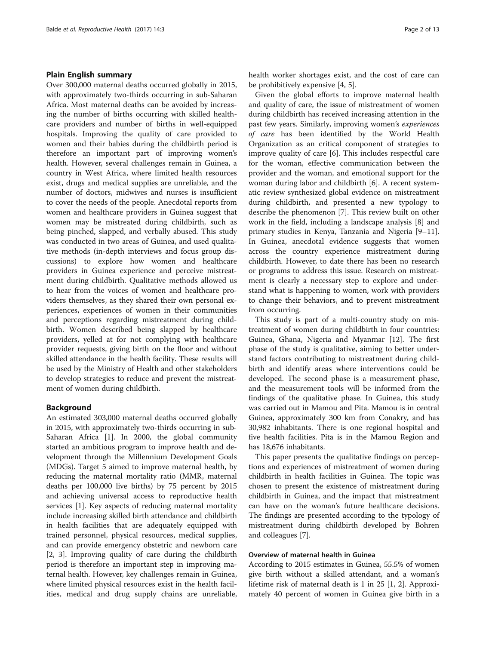## Plain English summary

Over 300,000 maternal deaths occurred globally in 2015, with approximately two-thirds occurring in sub-Saharan Africa. Most maternal deaths can be avoided by increasing the number of births occurring with skilled healthcare providers and number of births in well-equipped hospitals. Improving the quality of care provided to women and their babies during the childbirth period is therefore an important part of improving women's health. However, several challenges remain in Guinea, a country in West Africa, where limited health resources exist, drugs and medical supplies are unreliable, and the number of doctors, midwives and nurses is insufficient to cover the needs of the people. Anecdotal reports from women and healthcare providers in Guinea suggest that women may be mistreated during childbirth, such as being pinched, slapped, and verbally abused. This study was conducted in two areas of Guinea, and used qualitative methods (in-depth interviews and focus group discussions) to explore how women and healthcare providers in Guinea experience and perceive mistreatment during childbirth. Qualitative methods allowed us to hear from the voices of women and healthcare providers themselves, as they shared their own personal experiences, experiences of women in their communities and perceptions regarding mistreatment during childbirth. Women described being slapped by healthcare providers, yelled at for not complying with healthcare provider requests, giving birth on the floor and without skilled attendance in the health facility. These results will be used by the Ministry of Health and other stakeholders to develop strategies to reduce and prevent the mistreatment of women during childbirth.

## Background

An estimated 303,000 maternal deaths occurred globally in 2015, with approximately two-thirds occurring in sub-Saharan Africa [\[1](#page-12-0)]. In 2000, the global community started an ambitious program to improve health and development through the Millennium Development Goals (MDGs). Target 5 aimed to improve maternal health, by reducing the maternal mortality ratio (MMR, maternal deaths per 100,000 live births) by 75 percent by 2015 and achieving universal access to reproductive health services [\[1](#page-12-0)]. Key aspects of reducing maternal mortality include increasing skilled birth attendance and childbirth in health facilities that are adequately equipped with trained personnel, physical resources, medical supplies, and can provide emergency obstetric and newborn care [[2, 3\]](#page-12-0). Improving quality of care during the childbirth period is therefore an important step in improving maternal health. However, key challenges remain in Guinea, where limited physical resources exist in the health facilities, medical and drug supply chains are unreliable, health worker shortages exist, and the cost of care can be prohibitively expensive [[4, 5\]](#page-12-0).

Given the global efforts to improve maternal health and quality of care, the issue of mistreatment of women during childbirth has received increasing attention in the past few years. Similarly, improving women's experiences of care has been identified by the World Health Organization as an critical component of strategies to improve quality of care [[6\]](#page-12-0). This includes respectful care for the woman, effective communication between the provider and the woman, and emotional support for the woman during labor and childbirth [\[6](#page-12-0)]. A recent systematic review synthesized global evidence on mistreatment during childbirth, and presented a new typology to describe the phenomenon [\[7](#page-12-0)]. This review built on other work in the field, including a landscape analysis [[8\]](#page-12-0) and primary studies in Kenya, Tanzania and Nigeria [[9](#page-12-0)–[11](#page-12-0)]. In Guinea, anecdotal evidence suggests that women across the country experience mistreatment during childbirth. However, to date there has been no research or programs to address this issue. Research on mistreatment is clearly a necessary step to explore and understand what is happening to women, work with providers to change their behaviors, and to prevent mistreatment from occurring.

This study is part of a multi-country study on mistreatment of women during childbirth in four countries: Guinea, Ghana, Nigeria and Myanmar [\[12](#page-12-0)]. The first phase of the study is qualitative, aiming to better understand factors contributing to mistreatment during childbirth and identify areas where interventions could be developed. The second phase is a measurement phase, and the measurement tools will be informed from the findings of the qualitative phase. In Guinea, this study was carried out in Mamou and Pita. Mamou is in central Guinea, approximately 300 km from Conakry, and has 30,982 inhabitants. There is one regional hospital and five health facilities. Pita is in the Mamou Region and has 18,676 inhabitants.

This paper presents the qualitative findings on perceptions and experiences of mistreatment of women during childbirth in health facilities in Guinea. The topic was chosen to present the existence of mistreatment during childbirth in Guinea, and the impact that mistreatment can have on the woman's future healthcare decisions. The findings are presented according to the typology of mistreatment during childbirth developed by Bohren and colleagues [\[7](#page-12-0)].

## Overview of maternal health in Guinea

According to 2015 estimates in Guinea, 55.5% of women give birth without a skilled attendant, and a woman's lifetime risk of maternal death is 1 in 25 [[1, 2\]](#page-12-0). Approximately 40 percent of women in Guinea give birth in a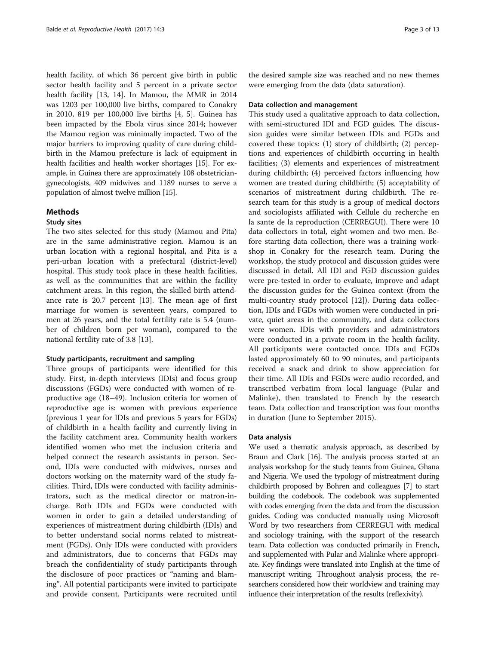health facility, of which 36 percent give birth in public sector health facility and 5 percent in a private sector health facility [[13](#page-12-0), [14](#page-12-0)]. In Mamou, the MMR in 2014 was 1203 per 100,000 live births, compared to Conakry in 2010, 819 per 100,000 live births [\[4](#page-12-0), [5\]](#page-12-0). Guinea has been impacted by the Ebola virus since 2014; however the Mamou region was minimally impacted. Two of the major barriers to improving quality of care during childbirth in the Mamou prefecture is lack of equipment in health facilities and health worker shortages [\[15\]](#page-12-0). For example, in Guinea there are approximately 108 obstetriciangynecologists, 409 midwives and 1189 nurses to serve a population of almost twelve million [\[15\]](#page-12-0).

## Methods

## Study sites

The two sites selected for this study (Mamou and Pita) are in the same administrative region. Mamou is an urban location with a regional hospital, and Pita is a peri-urban location with a prefectural (district-level) hospital. This study took place in these health facilities, as well as the communities that are within the facility catchment areas. In this region, the skilled birth attendance rate is 20.7 percent [[13](#page-12-0)]. The mean age of first marriage for women is seventeen years, compared to men at 26 years, and the total fertility rate is 5.4 (number of children born per woman), compared to the national fertility rate of 3.8 [[13](#page-12-0)].

## Study participants, recruitment and sampling

Three groups of participants were identified for this study. First, in-depth interviews (IDIs) and focus group discussions (FGDs) were conducted with women of reproductive age (18–49). Inclusion criteria for women of reproductive age is: women with previous experience (previous 1 year for IDIs and previous 5 years for FGDs) of childbirth in a health facility and currently living in the facility catchment area. Community health workers identified women who met the inclusion criteria and helped connect the research assistants in person. Second, IDIs were conducted with midwives, nurses and doctors working on the maternity ward of the study facilities. Third, IDIs were conducted with facility administrators, such as the medical director or matron-incharge. Both IDIs and FGDs were conducted with women in order to gain a detailed understanding of experiences of mistreatment during childbirth (IDIs) and to better understand social norms related to mistreatment (FGDs). Only IDIs were conducted with providers and administrators, due to concerns that FGDs may breach the confidentiality of study participants through the disclosure of poor practices or "naming and blaming". All potential participants were invited to participate and provide consent. Participants were recruited until

the desired sample size was reached and no new themes were emerging from the data (data saturation).

#### Data collection and management

This study used a qualitative approach to data collection, with semi-structured IDI and FGD guides. The discussion guides were similar between IDIs and FGDs and covered these topics: (1) story of childbirth; (2) perceptions and experiences of childbirth occurring in health facilities; (3) elements and experiences of mistreatment during childbirth; (4) perceived factors influencing how women are treated during childbirth; (5) acceptability of scenarios of mistreatment during childbirth. The research team for this study is a group of medical doctors and sociologists affiliated with Cellule du recherche en la sante de la reproduction (CERREGUI). There were 10 data collectors in total, eight women and two men. Before starting data collection, there was a training workshop in Conakry for the research team. During the workshop, the study protocol and discussion guides were discussed in detail. All IDI and FGD discussion guides were pre-tested in order to evaluate, improve and adapt the discussion guides for the Guinea context (from the multi-country study protocol [\[12\]](#page-12-0)). During data collection, IDIs and FGDs with women were conducted in private, quiet areas in the community, and data collectors were women. IDIs with providers and administrators were conducted in a private room in the health facility. All participants were contacted once. IDIs and FGDs lasted approximately 60 to 90 minutes, and participants received a snack and drink to show appreciation for their time. All IDIs and FGDs were audio recorded, and transcribed verbatim from local language (Pular and Malinke), then translated to French by the research team. Data collection and transcription was four months in duration (June to September 2015).

#### Data analysis

We used a thematic analysis approach, as described by Braun and Clark [\[16\]](#page-12-0). The analysis process started at an analysis workshop for the study teams from Guinea, Ghana and Nigeria. We used the typology of mistreatment during childbirth proposed by Bohren and colleagues [[7](#page-12-0)] to start building the codebook. The codebook was supplemented with codes emerging from the data and from the discussion guides. Coding was conducted manually using Microsoft Word by two researchers from CERREGUI with medical and sociology training, with the support of the research team. Data collection was conducted primarily in French, and supplemented with Pular and Malinke where appropriate. Key findings were translated into English at the time of manuscript writing. Throughout analysis process, the researchers considered how their worldview and training may influence their interpretation of the results (reflexivity).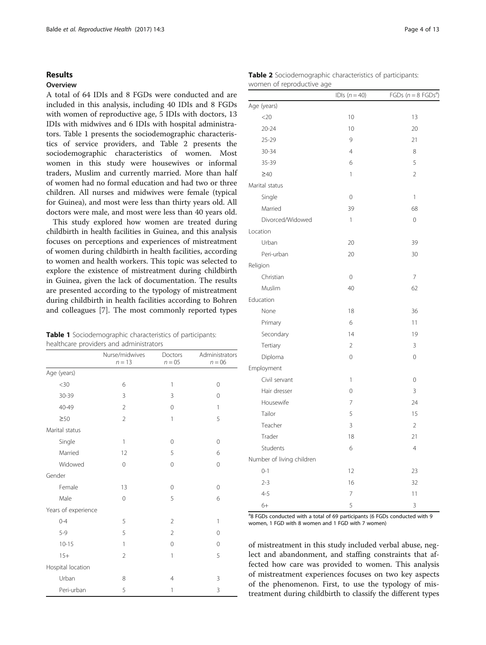## Results

## **Overview**

A total of 64 IDIs and 8 FGDs were conducted and are included in this analysis, including 40 IDIs and 8 FGDs with women of reproductive age, 5 IDIs with doctors, 13 IDIs with midwives and 6 IDIs with hospital administrators. Table 1 presents the sociodemographic characteristics of service providers, and Table 2 presents the sociodemographic characteristics of women. Most women in this study were housewives or informal traders, Muslim and currently married. More than half of women had no formal education and had two or three children. All nurses and midwives were female (typical for Guinea), and most were less than thirty years old. All doctors were male, and most were less than 40 years old.

This study explored how women are treated during childbirth in health facilities in Guinea, and this analysis focuses on perceptions and experiences of mistreatment of women during childbirth in health facilities, according to women and health workers. This topic was selected to explore the existence of mistreatment during childbirth in Guinea, given the lack of documentation. The results are presented according to the typology of mistreatment during childbirth in health facilities according to Bohren and colleagues [[7](#page-12-0)]. The most commonly reported types

| <b>Table 1</b> Sociodemographic characteristics of participants: |  |
|------------------------------------------------------------------|--|
| healthcare providers and administrators                          |  |

|                     | Nurse/midwives<br>$n = 13$ | Doctors<br>$n = 05$ | Administrators<br>$n = 06$ |
|---------------------|----------------------------|---------------------|----------------------------|
| Age (years)         |                            |                     |                            |
| $<$ 30              | 6                          | 1                   | 0                          |
| $30 - 39$           | 3                          | 3                   | $\Omega$                   |
| 40-49               | $\overline{2}$             | $\Omega$            | $\mathbf{1}$               |
| $\geq 50$           | $\overline{2}$             | 1                   | 5                          |
| Marital status      |                            |                     |                            |
| Single              | 1                          | $\mathbf 0$         | $\mathbf 0$                |
| Married             | 12                         | 5                   | 6                          |
| Widowed             | $\mathbf 0$                | 0                   | $\mathbf 0$                |
| Gender              |                            |                     |                            |
| Female              | 13                         | $\Omega$            | 0                          |
| Male                | $\Omega$                   | 5                   | 6                          |
| Years of experience |                            |                     |                            |
| $0 - 4$             | 5                          | $\overline{2}$      | 1                          |
| $5 - 9$             | 5                          | $\overline{2}$      | $\Omega$                   |
| $10 - 15$           | 1                          | 0                   | $\Omega$                   |
| $15+$               | 2                          | 1                   | 5                          |
| Hospital location   |                            |                     |                            |
| Urban               | 8                          | $\overline{4}$      | 3                          |
| Peri-urban          | 5                          | 1                   | 3                          |

| <b>Table 2</b> Sociodemographic characteristics of participants: |  |  |
|------------------------------------------------------------------|--|--|
| women of reproductive age                                        |  |  |

|                           | IDIs $(n = 40)$ | FGDs $(n = 8$ FGDs <sup>a</sup> ) |
|---------------------------|-----------------|-----------------------------------|
| Age (years)               |                 |                                   |
| <20                       | 10              | 13                                |
| $20 - 24$                 | 10              | 20                                |
| $25 - 29$                 | 9               | 21                                |
| $30 - 34$                 | $\overline{4}$  | 8                                 |
| 35-39                     | 6               | 5                                 |
| $\geq 40$                 | 1               | $\overline{2}$                    |
| Marital status            |                 |                                   |
| Single                    | $\mathcal O$    | $\mathbf{1}$                      |
| Married                   | 39              | 68                                |
| Divorced/Widowed          | 1               | 0                                 |
| Location                  |                 |                                   |
| Urban                     | 20              | 39                                |
| Peri-urban                | 20              | 30                                |
| Religion                  |                 |                                   |
| Christian                 | 0               | $\overline{7}$                    |
| Muslim                    | 40              | 62                                |
| Education                 |                 |                                   |
| None                      | 18              | 36                                |
| Primary                   | 6               | 11                                |
| Secondary                 | 14              | 19                                |
| Tertiary                  | $\overline{2}$  | 3                                 |
| Diploma                   | $\mathbf 0$     | $\mathbf 0$                       |
| Employment                |                 |                                   |
| Civil servant             | $\mathbf{1}$    | $\overline{0}$                    |
| Hair dresser              | $\mathbf 0$     | 3                                 |
| Housewife                 | $\overline{7}$  | 24                                |
| Tailor                    | 5               | 15                                |
| Teacher                   | 3               | $\overline{2}$                    |
| Trader                    | 18              | 21                                |
| Students                  | 6               | $\overline{4}$                    |
| Number of living children |                 |                                   |
| $0 - 1$                   | 12              | 23                                |
| $2 - 3$                   | 16              | 32                                |
| $4 - 5$                   | $\overline{7}$  | 11                                |
| $6+$                      | 5               | 3                                 |

<sup>a</sup>8 FGDs conducted with a total of 69 participants (6 FGDs conducted with 9 women, 1 FGD with 8 women and 1 FGD with 7 women)

of mistreatment in this study included verbal abuse, neglect and abandonment, and staffing constraints that affected how care was provided to women. This analysis of mistreatment experiences focuses on two key aspects of the phenomenon. First, to use the typology of mistreatment during childbirth to classify the different types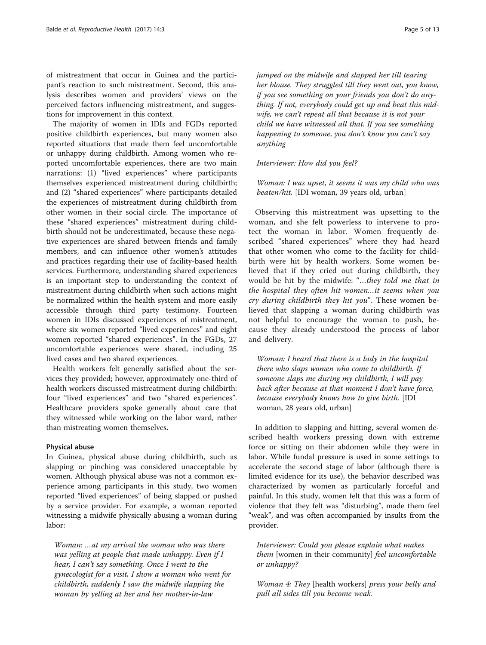of mistreatment that occur in Guinea and the participant's reaction to such mistreatment. Second, this analysis describes women and providers' views on the perceived factors influencing mistreatment, and suggestions for improvement in this context.

The majority of women in IDIs and FGDs reported positive childbirth experiences, but many women also reported situations that made them feel uncomfortable or unhappy during childbirth. Among women who reported uncomfortable experiences, there are two main narrations: (1) "lived experiences" where participants themselves experienced mistreatment during childbirth; and (2) "shared experiences" where participants detailed the experiences of mistreatment during childbirth from other women in their social circle. The importance of these "shared experiences" mistreatment during childbirth should not be underestimated, because these negative experiences are shared between friends and family members, and can influence other women's attitudes and practices regarding their use of facility-based health services. Furthermore, understanding shared experiences is an important step to understanding the context of mistreatment during childbirth when such actions might be normalized within the health system and more easily accessible through third party testimony. Fourteen women in IDIs discussed experiences of mistreatment, where six women reported "lived experiences" and eight women reported "shared experiences". In the FGDs, 27 uncomfortable experiences were shared, including 25 lived cases and two shared experiences.

Health workers felt generally satisfied about the services they provided; however, approximately one-third of health workers discussed mistreatment during childbirth: four "lived experiences" and two "shared experiences". Healthcare providers spoke generally about care that they witnessed while working on the labor ward, rather than mistreating women themselves.

## Physical abuse

In Guinea, physical abuse during childbirth, such as slapping or pinching was considered unacceptable by women. Although physical abuse was not a common experience among participants in this study, two women reported "lived experiences" of being slapped or pushed by a service provider. For example, a woman reported witnessing a midwife physically abusing a woman during labor:

Woman: …at my arrival the woman who was there was yelling at people that made unhappy. Even if I hear, I can't say something. Once I went to the gynecologist for a visit, I show a woman who went for childbirth, suddenly I saw the midwife slapping the woman by yelling at her and her mother-in-law

jumped on the midwife and slapped her till tearing her blouse. They struggled till they went out, you know, if you see something on your friends you don't do anything. If not, everybody could get up and beat this midwife, we can't repeat all that because it is not your child we have witnessed all that. If you see something happening to someone, you don't know you can't say anything

Interviewer: How did you feel?

Woman: I was upset, it seems it was my child who was beaten/hit. [IDI woman, 39 years old, urban]

Observing this mistreatment was upsetting to the woman, and she felt powerless to intervene to protect the woman in labor. Women frequently described "shared experiences" where they had heard that other women who come to the facility for childbirth were hit by health workers. Some women believed that if they cried out during childbirth, they would be hit by the midwife: "…they told me that in the hospital they often hit women…it seems when you cry during childbirth they hit you". These women believed that slapping a woman during childbirth was not helpful to encourage the woman to push, because they already understood the process of labor and delivery.

Woman: I heard that there is a lady in the hospital there who slaps women who come to childbirth. If someone slaps me during my childbirth, I will pay back after because at that moment I don't have force, because everybody knows how to give birth. [IDI woman, 28 years old, urban]

In addition to slapping and hitting, several women described health workers pressing down with extreme force or sitting on their abdomen while they were in labor. While fundal pressure is used in some settings to accelerate the second stage of labor (although there is limited evidence for its use), the behavior described was characterized by women as particularly forceful and painful. In this study, women felt that this was a form of violence that they felt was "disturbing", made them feel "weak", and was often accompanied by insults from the provider.

Interviewer: Could you please explain what makes them [women in their community] feel uncomfortable or unhappy?

Woman 4: They [health workers] press your belly and pull all sides till you become weak.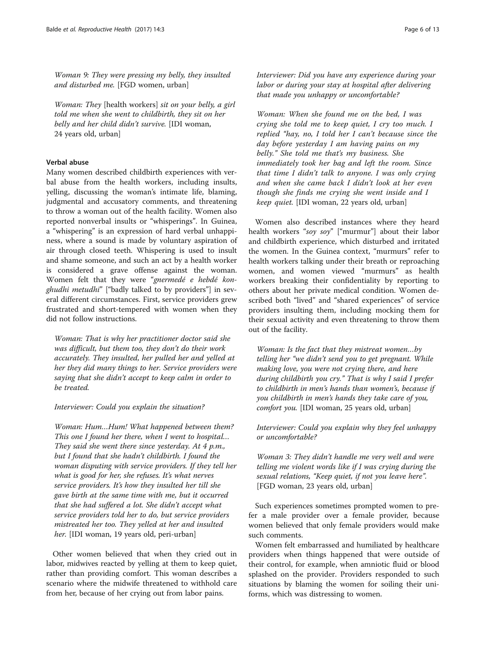Woman 9: They were pressing my belly, they insulted and disturbed me. [FGD women, urban]

Woman: They [health workers] sit on your belly, a girl told me when she went to childbirth, they sit on her belly and her child didn't survive. [IDI woman, 24 years old, urban]

## Verbal abuse

Many women described childbirth experiences with verbal abuse from the health workers, including insults, yelling, discussing the woman's intimate life, blaming, judgmental and accusatory comments, and threatening to throw a woman out of the health facility. Women also reported nonverbal insults or "whisperings". In Guinea, a "whispering" is an expression of hard verbal unhappiness, where a sound is made by voluntary aspiration of air through closed teeth. Whispering is used to insult and shame someone, and such an act by a health worker is considered a grave offense against the woman. Women felt that they were "gnermedé e hebdé konghudhi metudhi" ["badly talked to by providers"] in several different circumstances. First, service providers grew frustrated and short-tempered with women when they did not follow instructions.

Woman: That is why her practitioner doctor said she was difficult, but them too, they don't do their work accurately. They insulted, her pulled her and yelled at her they did many things to her. Service providers were saying that she didn't accept to keep calm in order to be treated.

Interviewer: Could you explain the situation?

Woman: Hum…Hum! What happened between them? This one I found her there, when I went to hospital… They said she went there since yesterday. At 4 p.m., but I found that she hadn't childbirth. I found the woman disputing with service providers. If they tell her what is good for her, she refuses. It's what nerves service providers. It's how they insulted her till she gave birth at the same time with me, but it occurred that she had suffered a lot. She didn't accept what service providers told her to do, but service providers mistreated her too. They yelled at her and insulted her. [IDI woman, 19 years old, peri-urban]

Other women believed that when they cried out in labor, midwives reacted by yelling at them to keep quiet, rather than providing comfort. This woman describes a scenario where the midwife threatened to withhold care from her, because of her crying out from labor pains.

Interviewer: Did you have any experience during your labor or during your stay at hospital after delivering that made you unhappy or uncomfortable?

Woman: When she found me on the bed, I was crying she told me to keep quiet, I cry too much. I replied "hay, no, I told her I can't because since the day before yesterday I am having pains on my belly." She told me that's my business. She immediately took her bag and left the room. Since that time I didn't talk to anyone. I was only crying and when she came back I didn't look at her even though she finds me crying she went inside and I keep quiet. [IDI woman, 22 years old, urban]

Women also described instances where they heard health workers "soy soy" ["murmur"] about their labor and childbirth experience, which disturbed and irritated the women. In the Guinea context, "murmurs" refer to health workers talking under their breath or reproaching women, and women viewed "murmurs" as health workers breaking their confidentiality by reporting to others about her private medical condition. Women described both "lived" and "shared experiences" of service providers insulting them, including mocking them for their sexual activity and even threatening to throw them out of the facility.

Woman: Is the fact that they mistreat women…by telling her "we didn't send you to get pregnant. While making love, you were not crying there, and here during childbirth you cry." That is why I said I prefer to childbirth in men's hands than women's, because if you childbirth in men's hands they take care of you, comfort you. [IDI woman, 25 years old, urban]

Interviewer: Could you explain why they feel unhappy or uncomfortable?

Woman 3: They didn't handle me very well and were telling me violent words like if I was crying during the sexual relations, "Keep quiet, if not you leave here". [FGD woman, 23 years old, urban]

Such experiences sometimes prompted women to prefer a male provider over a female provider, because women believed that only female providers would make such comments.

Women felt embarrassed and humiliated by healthcare providers when things happened that were outside of their control, for example, when amniotic fluid or blood splashed on the provider. Providers responded to such situations by blaming the women for soiling their uniforms, which was distressing to women.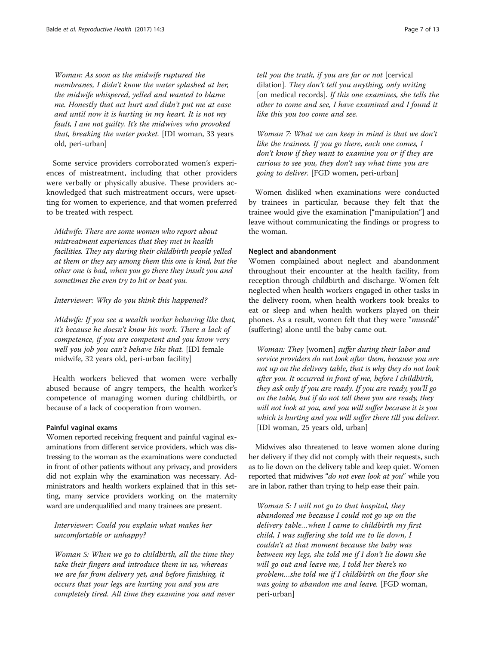Woman: As soon as the midwife ruptured the membranes, I didn't know the water splashed at her, the midwife whispered, yelled and wanted to blame me. Honestly that act hurt and didn't put me at ease and until now it is hurting in my heart. It is not my fault, I am not guilty. It's the midwives who provoked that, breaking the water pocket. [IDI woman, 33 years old, peri-urban]

Some service providers corroborated women's experiences of mistreatment, including that other providers were verbally or physically abusive. These providers acknowledged that such mistreatment occurs, were upsetting for women to experience, and that women preferred to be treated with respect.

Midwife: There are some women who report about mistreatment experiences that they met in health facilities. They say during their childbirth people yelled at them or they say among them this one is kind, but the other one is bad, when you go there they insult you and sometimes the even try to hit or beat you.

Interviewer: Why do you think this happened?

Midwife: If you see a wealth worker behaving like that, it's because he doesn't know his work. There a lack of competence, if you are competent and you know very well you job you can't behave like that. [IDI female midwife, 32 years old, peri-urban facility]

Health workers believed that women were verbally abused because of angry tempers, the health worker's competence of managing women during childbirth, or because of a lack of cooperation from women.

#### Painful vaginal exams

Women reported receiving frequent and painful vaginal examinations from different service providers, which was distressing to the woman as the examinations were conducted in front of other patients without any privacy, and providers did not explain why the examination was necessary. Administrators and health workers explained that in this setting, many service providers working on the maternity ward are underqualified and many trainees are present.

Interviewer: Could you explain what makes her uncomfortable or unhappy?

Woman 5: When we go to childbirth, all the time they take their fingers and introduce them in us, whereas we are far from delivery yet, and before finishing, it occurs that your legs are hurting you and you are completely tired. All time they examine you and never tell you the truth, if you are far or not [cervical dilation]. They don't tell you anything, only writing [on medical records]. If this one examines, she tells the other to come and see, I have examined and I found it like this you too come and see.

Woman 7: What we can keep in mind is that we don't like the trainees. If you go there, each one comes, I don't know if they want to examine you or if they are curious to see you, they don't say what time you are going to deliver. [FGD women, peri-urban]

Women disliked when examinations were conducted by trainees in particular, because they felt that the trainee would give the examination ["manipulation"] and leave without communicating the findings or progress to the woman.

#### Neglect and abandonment

Women complained about neglect and abandonment throughout their encounter at the health facility, from reception through childbirth and discharge. Women felt neglected when health workers engaged in other tasks in the delivery room, when health workers took breaks to eat or sleep and when health workers played on their phones. As a result, women felt that they were "musedè" (suffering) alone until the baby came out.

Woman: They [women] suffer during their labor and service providers do not look after them, because you are not up on the delivery table, that is why they do not look after you. It occurred in front of me, before I childbirth, they ask only if you are ready. If you are ready, you'll go on the table, but if do not tell them you are ready, they will not look at you, and you will suffer because it is you which is hurting and you will suffer there till you deliver. [IDI woman, 25 years old, urban]

Midwives also threatened to leave women alone during her delivery if they did not comply with their requests, such as to lie down on the delivery table and keep quiet. Women reported that midwives "do not even look at you" while you are in labor, rather than trying to help ease their pain.

Woman 5: I will not go to that hospital, they abandoned me because I could not go up on the delivery table…when I came to childbirth my first child, I was suffering she told me to lie down, I couldn't at that moment because the baby was between my legs, she told me if I don't lie down she will go out and leave me, I told her there's no problem…she told me if I childbirth on the floor she was going to abandon me and leave. [FGD woman, peri-urban]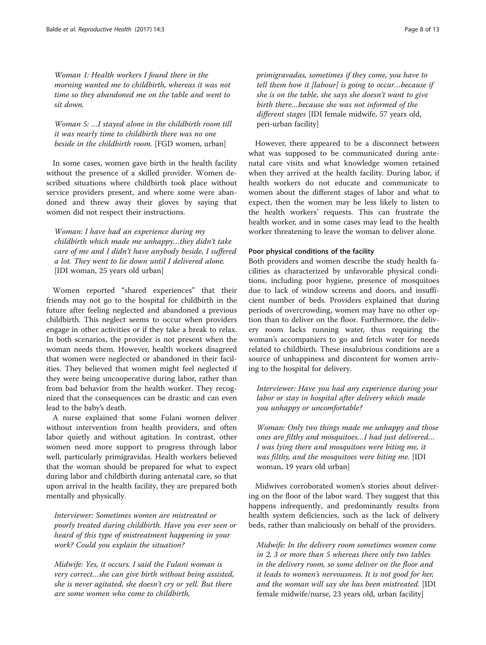Woman 1: Health workers I found there in the morning wanted me to childbirth, whereas it was not time so they abandoned me on the table and went to sit down.

Woman 5: …I stayed alone in the childbirth room till it was nearly time to childbirth there was no one beside in the childbirth room. [FGD women, urban]

In some cases, women gave birth in the health facility without the presence of a skilled provider. Women described situations where childbirth took place without service providers present, and where some were abandoned and threw away their gloves by saying that women did not respect their instructions.

Woman: I have had an experience during my childbirth which made me unhappy…they didn't take care of me and I didn't have anybody beside, I suffered a lot. They went to lie down until I delivered alone. [IDI woman, 25 years old urban]

Women reported "shared experiences" that their friends may not go to the hospital for childbirth in the future after feeling neglected and abandoned a previous childbirth. This neglect seems to occur when providers engage in other activities or if they take a break to relax. In both scenarios, the provider is not present when the woman needs them. However, health workers disagreed that women were neglected or abandoned in their facilities. They believed that women might feel neglected if they were being uncooperative during labor, rather than from bad behavior from the health worker. They recognized that the consequences can be drastic and can even lead to the baby's death.

A nurse explained that some Fulani women deliver without intervention from health providers, and often labor quietly and without agitation. In contrast, other women need more support to progress through labor well, particularly primigravidas. Health workers believed that the woman should be prepared for what to expect during labor and childbirth during antenatal care, so that upon arrival in the health facility, they are prepared both mentally and physically.

Interviewer: Sometimes women are mistreated or poorly treated during childbirth. Have you ever seen or heard of this type of mistreatment happening in your work? Could you explain the situation?

Midwife: Yes, it occurs. I said the Fulani woman is very correct…she can give birth without being assisted, she is never agitated, she doesn't cry or yell. But there are some women who come to childbirth,

primigravadas, sometimes if they come, you have to tell them how it [labour] is going to occur…because if she is on the table, she says she doesn't want to give birth there…because she was not informed of the different stages [IDI female midwife, 57 years old, peri-urban facility]

However, there appeared to be a disconnect between what was supposed to be communicated during antenatal care visits and what knowledge women retained when they arrived at the health facility. During labor, if health workers do not educate and communicate to women about the different stages of labor and what to expect, then the women may be less likely to listen to the health workers' requests. This can frustrate the health worker, and in some cases may lead to the health worker threatening to leave the woman to deliver alone.

#### Poor physical conditions of the facility

Both providers and women describe the study health facilities as characterized by unfavorable physical conditions, including poor hygiene, presence of mosquitoes due to lack of window screens and doors, and insufficient number of beds. Providers explained that during periods of overcrowding, women may have no other option than to deliver on the floor. Furthermore, the delivery room lacks running water, thus requiring the woman's accompaniers to go and fetch water for needs related to childbirth. These insalubrious conditions are a source of unhappiness and discontent for women arriving to the hospital for delivery.

Interviewer: Have you had any experience during your labor or stay in hospital after delivery which made you unhappy or uncomfortable?

Woman: Only two things made me unhappy and those ones are filthy and mosquitoes…I had just delivered… I was lying there and mosquitoes were biting me, it was filthy, and the mosquitoes were biting me. [IDI woman, 19 years old urban]

Midwives corroborated women's stories about delivering on the floor of the labor ward. They suggest that this happens infrequently, and predominantly results from health system deficiencies, such as the lack of delivery beds, rather than maliciously on behalf of the providers.

Midwife: In the delivery room sometimes women come in 2, 3 or more than 5 whereas there only two tables in the delivery room, so some deliver on the floor and it leads to women's nervousness. It is not good for her, and the woman will say she has been mistreated. [IDI female midwife/nurse, 23 years old, urban facility]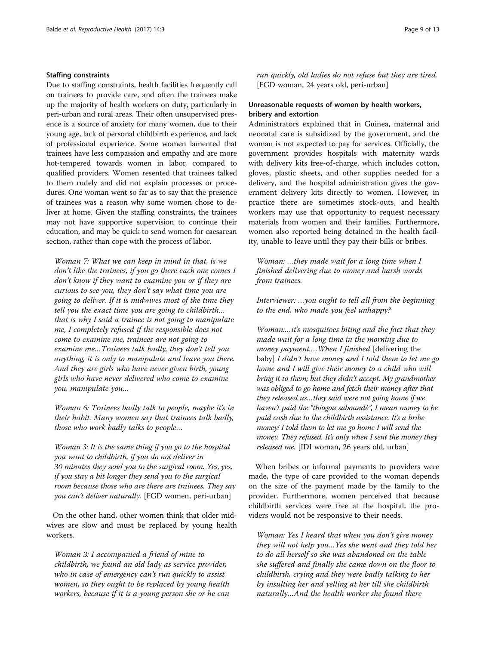## Staffing constraints

Due to staffing constraints, health facilities frequently call on trainees to provide care, and often the trainees make up the majority of health workers on duty, particularly in peri-urban and rural areas. Their often unsupervised presence is a source of anxiety for many women, due to their young age, lack of personal childbirth experience, and lack of professional experience. Some women lamented that trainees have less compassion and empathy and are more hot-tempered towards women in labor, compared to qualified providers. Women resented that trainees talked to them rudely and did not explain processes or procedures. One woman went so far as to say that the presence of trainees was a reason why some women chose to deliver at home. Given the staffing constraints, the trainees may not have supportive supervision to continue their education, and may be quick to send women for caesarean section, rather than cope with the process of labor.

Woman 7: What we can keep in mind in that, is we don't like the trainees, if you go there each one comes I don't know if they want to examine you or if they are curious to see you, they don't say what time you are going to deliver. If it is midwives most of the time they tell you the exact time you are going to childbirth… that is why I said a trainee is not going to manipulate me, I completely refused if the responsible does not come to examine me, trainees are not going to examine me…Trainees talk badly, they don't tell you anything, it is only to manipulate and leave you there. And they are girls who have never given birth, young girls who have never delivered who come to examine you, manipulate you…

Woman 6: Trainees badly talk to people, maybe it's in their habit. Many women say that trainees talk badly, those who work badly talks to people…

Woman 3: It is the same thing if you go to the hospital you want to childbirth, if you do not deliver in 30 minutes they send you to the surgical room. Yes, yes, if you stay a bit longer they send you to the surgical room because those who are there are trainees. They say you can't deliver naturally. [FGD women, peri-urban]

On the other hand, other women think that older midwives are slow and must be replaced by young health workers.

Woman 3: I accompanied a friend of mine to childbirth, we found an old lady as service provider, who in case of emergency can't run quickly to assist women, so they ought to be replaced by young health workers, because if it is a young person she or he can run quickly, old ladies do not refuse but they are tired. [FGD woman, 24 years old, peri-urban]

## Unreasonable requests of women by health workers, bribery and extortion

Administrators explained that in Guinea, maternal and neonatal care is subsidized by the government, and the woman is not expected to pay for services. Officially, the government provides hospitals with maternity wards with delivery kits free-of-charge, which includes cotton, gloves, plastic sheets, and other supplies needed for a delivery, and the hospital administration gives the government delivery kits directly to women. However, in practice there are sometimes stock-outs, and health workers may use that opportunity to request necessary materials from women and their families. Furthermore, women also reported being detained in the health facility, unable to leave until they pay their bills or bribes.

Woman: …they made wait for a long time when I finished delivering due to money and harsh words from trainees.

Interviewer: …you ought to tell all from the beginning to the end, who made you feel unhappy?

Woman:…it's mosquitoes biting and the fact that they made wait for a long time in the morning due to money payment.... When I finished [delivering the baby] I didn't have money and I told them to let me go home and I will give their money to a child who will bring it to them; but they didn't accept. My grandmother was obliged to go home and fetch their money after that they released us…they said were not going home if we haven't paid the "thiogou saboundè", I mean money to be paid cash due to the childbirth assistance. It's a bribe money! I told them to let me go home I will send the money. They refused. It's only when I sent the money they released me. [IDI woman, 26 years old, urban]

When bribes or informal payments to providers were made, the type of care provided to the woman depends on the size of the payment made by the family to the provider. Furthermore, women perceived that because childbirth services were free at the hospital, the providers would not be responsive to their needs.

Woman: Yes I heard that when you don't give money they will not help you…Yes she went and they told her to do all herself so she was abandoned on the table she suffered and finally she came down on the floor to childbirth, crying and they were badly talking to her by insulting her and yelling at her till she childbirth naturally…And the health worker she found there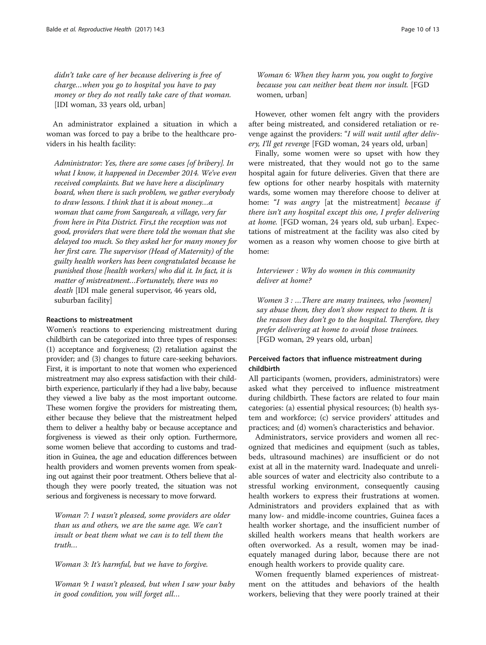didn't take care of her because delivering is free of charge…when you go to hospital you have to pay money or they do not really take care of that woman. [IDI woman, 33 years old, urban]

An administrator explained a situation in which a woman was forced to pay a bribe to the healthcare providers in his health facility:

Administrator: Yes, there are some cases [of bribery]. In what I know, it happened in December 2014. We've even received complaints. But we have here a disciplinary board, when there is such problem, we gather everybody to draw lessons. I think that it is about money…a woman that came from Sangareah, a village, very far from here in Pita District. Firs,t the reception was not good, providers that were there told the woman that she delayed too much. So they asked her for many money for her first care. The supervisor (Head of Maternity) of the guilty health workers has been congratulated because he punished those [health workers] who did it. In fact, it is matter of mistreatment…Fortunately, there was no death [IDI male general supervisor, 46 years old, suburban facility]

#### Reactions to mistreatment

Women's reactions to experiencing mistreatment during childbirth can be categorized into three types of responses: (1) acceptance and forgiveness; (2) retaliation against the provider; and (3) changes to future care-seeking behaviors. First, it is important to note that women who experienced mistreatment may also express satisfaction with their childbirth experience, particularly if they had a live baby, because they viewed a live baby as the most important outcome. These women forgive the providers for mistreating them, either because they believe that the mistreatment helped them to deliver a healthy baby or because acceptance and forgiveness is viewed as their only option. Furthermore, some women believe that according to customs and tradition in Guinea, the age and education differences between health providers and women prevents women from speaking out against their poor treatment. Others believe that although they were poorly treated, the situation was not serious and forgiveness is necessary to move forward.

Woman 7: I wasn't pleased, some providers are older than us and others, we are the same age. We can't insult or beat them what we can is to tell them the truth…

Woman 3: It's harmful, but we have to forgive.

Woman 9: I wasn't pleased, but when I saw your baby in good condition, you will forget all…

Woman 6: When they harm you, you ought to forgive because you can neither beat them nor insult. [FGD women, urban]

However, other women felt angry with the providers after being mistreated, and considered retaliation or revenge against the providers: "I will wait until after delivery, I'll get revenge [FGD woman, 24 years old, urban]

Finally, some women were so upset with how they were mistreated, that they would not go to the same hospital again for future deliveries. Given that there are few options for other nearby hospitals with maternity wards, some women may therefore choose to deliver at home: "I was angry [at the mistreatment] because if there isn't any hospital except this one, I prefer delivering at home. [FGD woman, 24 years old, sub urban]. Expectations of mistreatment at the facility was also cited by women as a reason why women choose to give birth at home:

## Interviewer : Why do women in this community deliver at home?

Women 3 : ... There are many trainees, who [women] say abuse them, they don't show respect to them. It is the reason they don't go to the hospital. Therefore, they prefer delivering at home to avoid those trainees. [FGD woman, 29 years old, urban]

## Perceived factors that influence mistreatment during childbirth

All participants (women, providers, administrators) were asked what they perceived to influence mistreatment during childbirth. These factors are related to four main categories: (a) essential physical resources; (b) health system and workforce; (c) service providers' attitudes and practices; and (d) women's characteristics and behavior.

Administrators, service providers and women all recognized that medicines and equipment (such as tables, beds, ultrasound machines) are insufficient or do not exist at all in the maternity ward. Inadequate and unreliable sources of water and electricity also contribute to a stressful working environment, consequently causing health workers to express their frustrations at women. Administrators and providers explained that as with many low- and middle-income countries, Guinea faces a health worker shortage, and the insufficient number of skilled health workers means that health workers are often overworked. As a result, women may be inadequately managed during labor, because there are not enough health workers to provide quality care.

Women frequently blamed experiences of mistreatment on the attitudes and behaviors of the health workers, believing that they were poorly trained at their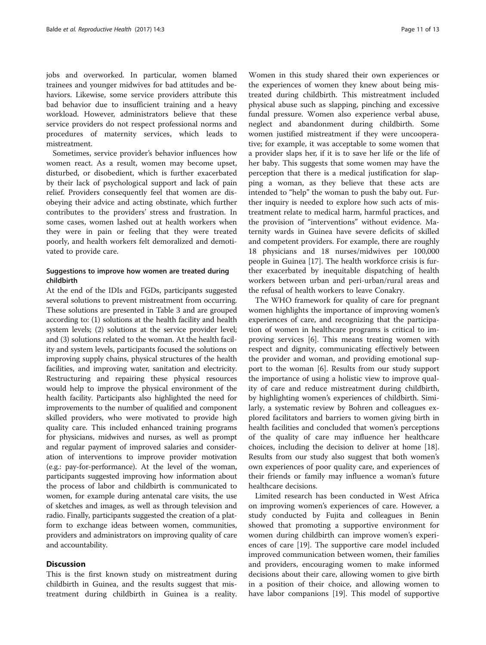jobs and overworked. In particular, women blamed trainees and younger midwives for bad attitudes and behaviors. Likewise, some service providers attribute this bad behavior due to insufficient training and a heavy workload. However, administrators believe that these service providers do not respect professional norms and procedures of maternity services, which leads to mistreatment.

Sometimes, service provider's behavior influences how women react. As a result, women may become upset, disturbed, or disobedient, which is further exacerbated by their lack of psychological support and lack of pain relief. Providers consequently feel that women are disobeying their advice and acting obstinate, which further contributes to the providers' stress and frustration. In some cases, women lashed out at health workers when they were in pain or feeling that they were treated poorly, and health workers felt demoralized and demotivated to provide care.

## Suggestions to improve how women are treated during childbirth

At the end of the IDIs and FGDs, participants suggested several solutions to prevent mistreatment from occurring. These solutions are presented in Table [3](#page-11-0) and are grouped according to: (1) solutions at the health facility and health system levels; (2) solutions at the service provider level; and (3) solutions related to the woman. At the health facility and system levels, participants focused the solutions on improving supply chains, physical structures of the health facilities, and improving water, sanitation and electricity. Restructuring and repairing these physical resources would help to improve the physical environment of the health facility. Participants also highlighted the need for improvements to the number of qualified and component skilled providers, who were motivated to provide high quality care. This included enhanced training programs for physicians, midwives and nurses, as well as prompt and regular payment of improved salaries and consideration of interventions to improve provider motivation (e.g.: pay-for-performance). At the level of the woman, participants suggested improving how information about the process of labor and childbirth is communicated to women, for example during antenatal care visits, the use of sketches and images, as well as through television and radio. Finally, participants suggested the creation of a platform to exchange ideas between women, communities, providers and administrators on improving quality of care and accountability.

## **Discussion**

This is the first known study on mistreatment during childbirth in Guinea, and the results suggest that mistreatment during childbirth in Guinea is a reality.

Women in this study shared their own experiences or the experiences of women they knew about being mistreated during childbirth. This mistreatment included physical abuse such as slapping, pinching and excessive fundal pressure. Women also experience verbal abuse, neglect and abandonment during childbirth. Some women justified mistreatment if they were uncooperative; for example, it was acceptable to some women that a provider slaps her, if it is to save her life or the life of her baby. This suggests that some women may have the perception that there is a medical justification for slapping a woman, as they believe that these acts are intended to "help" the woman to push the baby out. Further inquiry is needed to explore how such acts of mistreatment relate to medical harm, harmful practices, and the provision of "interventions" without evidence. Maternity wards in Guinea have severe deficits of skilled and competent providers. For example, there are roughly 18 physicians and 18 nurses/midwives per 100,000 people in Guinea [[17\]](#page-12-0). The health workforce crisis is further exacerbated by inequitable dispatching of health workers between urban and peri-urban/rural areas and the refusal of health workers to leave Conakry.

The WHO framework for quality of care for pregnant women highlights the importance of improving women's experiences of care, and recognizing that the participation of women in healthcare programs is critical to improving services [[6](#page-12-0)]. This means treating women with respect and dignity, communicating effectively between the provider and woman, and providing emotional support to the woman [\[6\]](#page-12-0). Results from our study support the importance of using a holistic view to improve quality of care and reduce mistreatment during childbirth, by highlighting women's experiences of childbirth. Similarly, a systematic review by Bohren and colleagues explored facilitators and barriers to women giving birth in health facilities and concluded that women's perceptions of the quality of care may influence her healthcare choices, including the decision to deliver at home [\[18](#page-12-0)]. Results from our study also suggest that both women's own experiences of poor quality care, and experiences of their friends or family may influence a woman's future healthcare decisions.

Limited research has been conducted in West Africa on improving women's experiences of care. However, a study conducted by Fujita and colleagues in Benin showed that promoting a supportive environment for women during childbirth can improve women's experiences of care [[19\]](#page-12-0). The supportive care model included improved communication between women, their families and providers, encouraging women to make informed decisions about their care, allowing women to give birth in a position of their choice, and allowing women to have labor companions [[19](#page-12-0)]. This model of supportive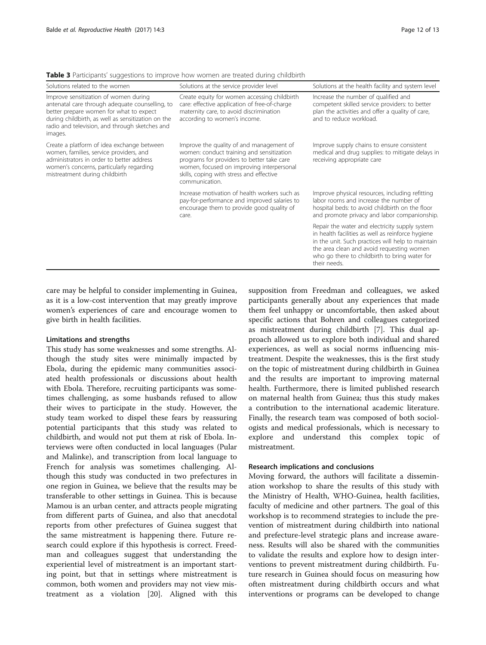| Solutions related to the women                                                                                                                                                                                                                         | Solutions at the service provider level                                                                                                                                                                                                        | Solutions at the health facility and system level                                                                                                                                                                                                                      |
|--------------------------------------------------------------------------------------------------------------------------------------------------------------------------------------------------------------------------------------------------------|------------------------------------------------------------------------------------------------------------------------------------------------------------------------------------------------------------------------------------------------|------------------------------------------------------------------------------------------------------------------------------------------------------------------------------------------------------------------------------------------------------------------------|
| Improve sensitization of women during<br>antenatal care through adequate counselling, to<br>better prepare women for what to expect<br>during childbirth, as well as sensitization on the<br>radio and television, and through sketches and<br>images. | Create equity for women accessing childbirth<br>care: effective application of free-of-charge<br>maternity care, to avoid discrimination<br>according to women's income.                                                                       | Increase the number of qualified and<br>competent skilled service providers: to better<br>plan the activities and offer a quality of care,<br>and to reduce workload.                                                                                                  |
| Create a platform of idea exchange between<br>women, families, service providers, and<br>administrators in order to better address<br>women's concerns, particularly regarding<br>mistreatment during childbirth                                       | Improve the quality of and management of<br>women: conduct training and sensitization<br>programs for providers to better take care<br>women, focused on improving interpersonal<br>skills, coping with stress and effective<br>communication. | Improve supply chains to ensure consistent<br>medical and drug supplies: to mitigate delays in<br>receiving appropriate care                                                                                                                                           |
|                                                                                                                                                                                                                                                        | Increase motivation of health workers such as<br>pay-for-performance and improved salaries to<br>encourage them to provide good quality of<br>care.                                                                                            | Improve physical resources, including refitting<br>labor rooms and increase the number of<br>hospital beds: to avoid childbirth on the floor<br>and promote privacy and labor companionship.                                                                           |
|                                                                                                                                                                                                                                                        |                                                                                                                                                                                                                                                | Repair the water and electricity supply system<br>in health facilities as well as reinforce hygiene<br>in the unit. Such practices will help to maintain<br>the area clean and avoid requesting women<br>who go there to childbirth to bring water for<br>their needs. |

<span id="page-11-0"></span>Table 3 Participants' suggestions to improve how women are treated during childbirth

care may be helpful to consider implementing in Guinea, as it is a low-cost intervention that may greatly improve women's experiences of care and encourage women to give birth in health facilities.

#### Limitations and strengths

This study has some weaknesses and some strengths. Although the study sites were minimally impacted by Ebola, during the epidemic many communities associated health professionals or discussions about health with Ebola. Therefore, recruiting participants was sometimes challenging, as some husbands refused to allow their wives to participate in the study. However, the study team worked to dispel these fears by reassuring potential participants that this study was related to childbirth, and would not put them at risk of Ebola. Interviews were often conducted in local languages (Pular and Malinke), and transcription from local language to French for analysis was sometimes challenging. Although this study was conducted in two prefectures in one region in Guinea, we believe that the results may be transferable to other settings in Guinea. This is because Mamou is an urban center, and attracts people migrating from different parts of Guinea, and also that anecdotal reports from other prefectures of Guinea suggest that the same mistreatment is happening there. Future research could explore if this hypothesis is correct. Freedman and colleagues suggest that understanding the experiential level of mistreatment is an important starting point, but that in settings where mistreatment is common, both women and providers may not view mistreatment as a violation [[20\]](#page-12-0). Aligned with this supposition from Freedman and colleagues, we asked participants generally about any experiences that made them feel unhappy or uncomfortable, then asked about specific actions that Bohren and colleagues categorized as mistreatment during childbirth [[7](#page-12-0)]. This dual approach allowed us to explore both individual and shared experiences, as well as social norms influencing mistreatment. Despite the weaknesses, this is the first study on the topic of mistreatment during childbirth in Guinea and the results are important to improving maternal health. Furthermore, there is limited published research on maternal health from Guinea; thus this study makes a contribution to the international academic literature. Finally, the research team was composed of both sociologists and medical professionals, which is necessary to explore and understand this complex topic of mistreatment.

## Research implications and conclusions

Moving forward, the authors will facilitate a dissemination workshop to share the results of this study with the Ministry of Health, WHO-Guinea, health facilities, faculty of medicine and other partners. The goal of this workshop is to recommend strategies to include the prevention of mistreatment during childbirth into national and prefecture-level strategic plans and increase awareness. Results will also be shared with the communities to validate the results and explore how to design interventions to prevent mistreatment during childbirth. Future research in Guinea should focus on measuring how often mistreatment during childbirth occurs and what interventions or programs can be developed to change